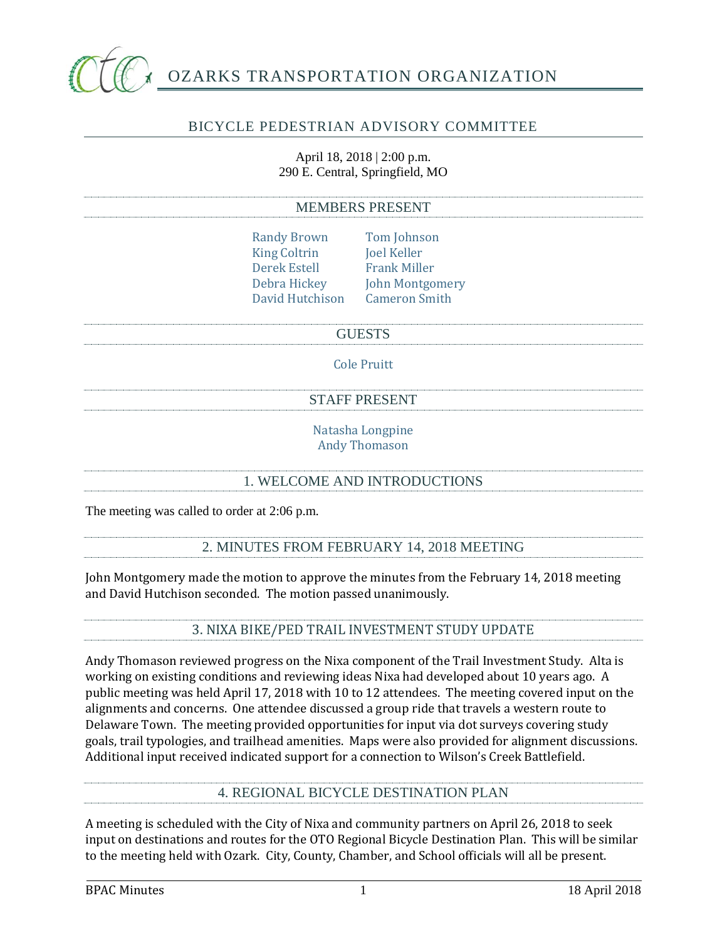

# OZARKS TRANSPORTATION ORGANIZATION

## BICYCLE PEDESTRIAN ADVISORY COMMITTEE

April 18, 2018 | 2:00 p.m. 290 E. Central, Springfield, MO

#### MEMBERS PRESENT

- Randy Brown Tom Johnson King Coltrin Joel Keller Derek Estell Frank Miller Debra Hickey John Montgomery David Hutchison Cameron Smith
- **GUESTS**

Cole Pruitt

#### STAFF PRESENT

Natasha Longpine Andy Thomason

#### 1. WELCOME AND INTRODUCTIONS

The meeting was called to order at 2:06 p.m.

#### 2. MINUTES FROM FEBRUARY 14, 2018 MEETING

John Montgomery made the motion to approve the minutes from the February 14, 2018 meeting and David Hutchison seconded. The motion passed unanimously.

## 3. NIXA BIKE/PED TRAIL INVESTMENT STUDY UPDATE

Andy Thomason reviewed progress on the Nixa component of the Trail Investment Study. Alta is working on existing conditions and reviewing ideas Nixa had developed about 10 years ago. A public meeting was held April 17, 2018 with 10 to 12 attendees. The meeting covered input on the alignments and concerns. One attendee discussed a group ride that travels a western route to Delaware Town. The meeting provided opportunities for input via dot surveys covering study goals, trail typologies, and trailhead amenities. Maps were also provided for alignment discussions. Additional input received indicated support for a connection to Wilson's Creek Battlefield.

#### 4. REGIONAL BICYCLE DESTINATION PLAN

A meeting is scheduled with the City of Nixa and community partners on April 26, 2018 to seek input on destinations and routes for the OTO Regional Bicycle Destination Plan. This will be similar to the meeting held with Ozark. City, County, Chamber, and School officials will all be present.